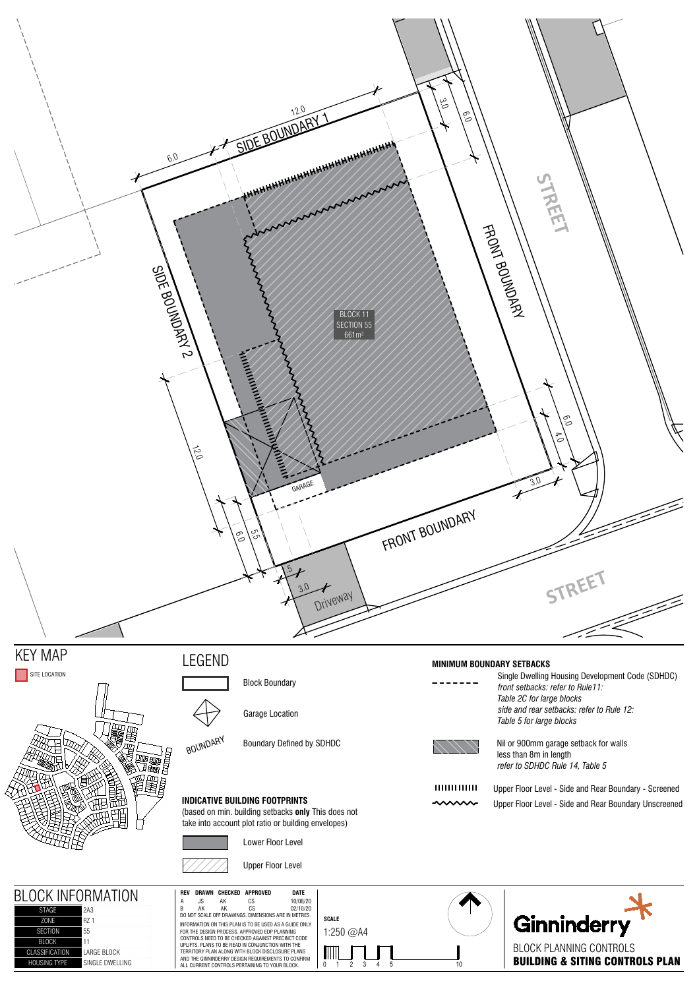